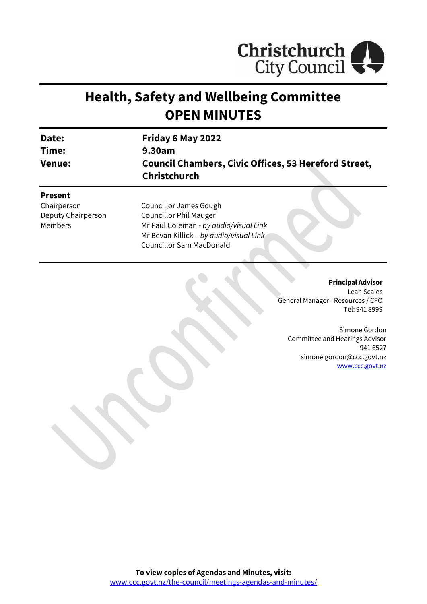

# **Health, Safety and Wellbeing Committee OPEN MINUTES**

| Date:<br>Time:<br><b>Venue:</b> | Friday 6 May 2022                                                                  |  |  |
|---------------------------------|------------------------------------------------------------------------------------|--|--|
|                                 | 9.30am                                                                             |  |  |
|                                 | <b>Council Chambers, Civic Offices, 53 Hereford Street,</b><br><b>Christchurch</b> |  |  |
| <b>Present</b>                  |                                                                                    |  |  |
| Chairperson                     | <b>Councillor James Gough</b>                                                      |  |  |
| Deputy Chairperson              | <b>Councillor Phil Mauger</b>                                                      |  |  |
| Members                         | Mr Paul Coleman - by audio/visual Link                                             |  |  |

Mr Bevan Killick – *by audio/visual Link*

Councillor Sam MacDonald

**Principal Advisor**

Leah Scales General Manager - Resources / CFO Tel: 941 8999

Simone Gordon Committee and Hearings Advisor 941 6527 simone.gordon@ccc.govt.nz [www.ccc.govt.nz](http://www.ccc.govt.nz/)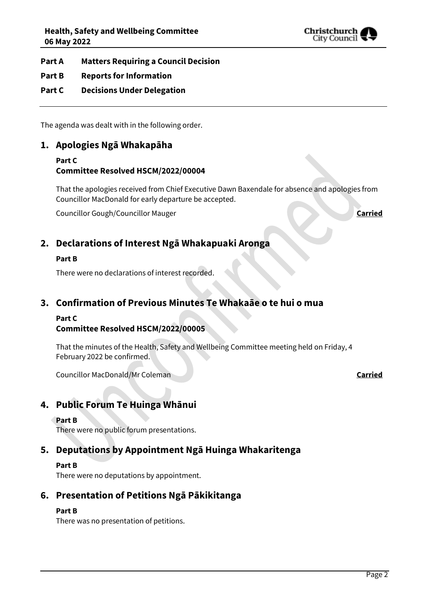

## **Part A Matters Requiring a Council Decision**

## **Part B Reports for Information**

## **Part C Decisions Under Delegation**

The agenda was dealt with in the following order.

# **1. Apologies Ngā Whakapāha**

# **Part C Committee Resolved HSCM/2022/00004**

That the apologies received from Chief Executive Dawn Baxendale for absence and apologies from Councillor MacDonald for early departure be accepted.

Councillor Gough/Councillor Mauger **Carried**

# **2. Declarations of Interest Ngā Whakapuaki Aronga**

#### **Part B**

There were no declarations of interest recorded.

## **3. Confirmation of Previous Minutes Te Whakaāe o te hui o mua**

#### **Part C**

## **Committee Resolved HSCM/2022/00005**

That the minutes of the Health, Safety and Wellbeing Committee meeting held on Friday, 4 February 2022 be confirmed.

Councillor MacDonald/Mr Coleman **Carried**

# **4. Public Forum Te Huinga Whānui**

#### **Part B**

There were no public forum presentations.

# **5. Deputations by Appointment Ngā Huinga Whakaritenga**

#### **Part B**

There were no deputations by appointment.

# **6. Presentation of Petitions Ngā Pākikitanga**

## **Part B**

There was no presentation of petitions.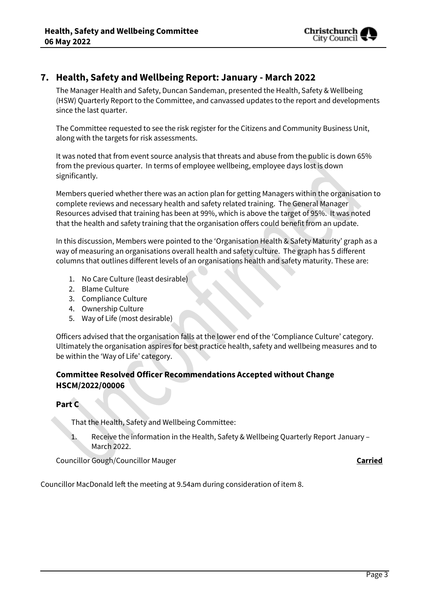

# **7. Health, Safety and Wellbeing Report: January - March 2022**

The Manager Health and Safety, Duncan Sandeman, presented the Health, Safety & Wellbeing (HSW) Quarterly Report to the Committee, and canvassed updates to the report and developments since the last quarter.

The Committee requested to see the risk register for the Citizens and Community Business Unit, along with the targets for risk assessments.

It was noted that from event source analysis that threats and abuse from the public is down 65% from the previous quarter. In terms of employee wellbeing, employee days lost is down significantly.

Members queried whether there was an action plan for getting Managers within the organisation to complete reviews and necessary health and safety related training. The General Manager Resources advised that training has been at 99%, which is above the target of 95%. It was noted that the health and safety training that the organisation offers could benefit from an update.

In this discussion, Members were pointed to the 'Organisation Health & Safety Maturity' graph as a way of measuring an organisations overall health and safety culture. The graph has 5 different columns that outlines different levels of an organisations health and safety maturity. These are:

- 1. No Care Culture (least desirable)
- 2. Blame Culture
- 3. Compliance Culture
- 4. Ownership Culture
- 5. Way of Life (most desirable)

Officers advised that the organisation falls at the lower end of the 'Compliance Culture' category. Ultimately the organisation aspires for best practice health, safety and wellbeing measures and to be within the 'Way of Life' category.

# **Committee Resolved Officer Recommendations Accepted without Change HSCM/2022/00006**

## **Part C**

That the Health, Safety and Wellbeing Committee:

1. Receive the information in the Health, Safety & Wellbeing Quarterly Report January – March 2022.

Councillor Gough/Councillor Mauger **Carried**

Councillor MacDonald left the meeting at 9.54am during consideration of item 8.